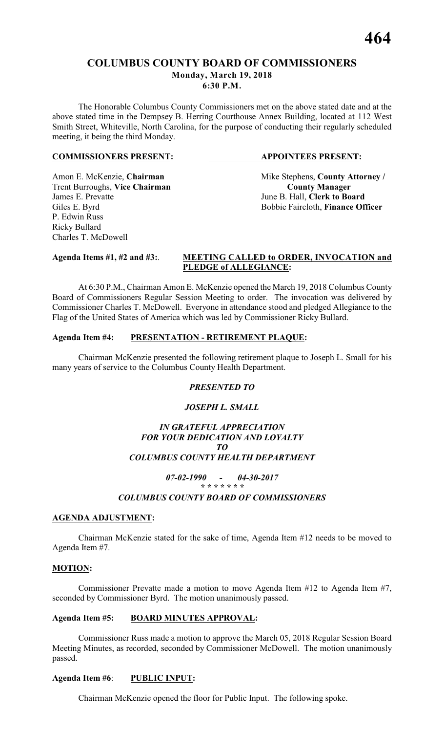# **COLUMBUS COUNTY BOARD OF COMMISSIONERS Monday, March 19, 2018 6:30 P.M.**

The Honorable Columbus County Commissioners met on the above stated date and at the above stated time in the Dempsey B. Herring Courthouse Annex Building, located at 112 West Smith Street, Whiteville, North Carolina, for the purpose of conducting their regularly scheduled meeting, it being the third Monday.

### **COMMISSIONERS PRESENT: APPOINTEES PRESENT:**

Trent Burroughs, Vice Chairman<br>James E. Prevatte P. Edwin Russ Ricky Bullard Charles T. McDowell

Amon E. McKenzie, **Chairman** Mike Stephens, **County Attorney** / **Trent Burroughs, Vice Chairman County Manager** June B. Hall, **Clerk to Board** Giles E. Byrd Bobbie Faircloth, **Finance Officer** 

# **Agenda Items #1, #2 and #3:**. **MEETING CALLED to ORDER, INVOCATION and PLEDGE of ALLEGIANCE:**

At 6:30 P.M., Chairman Amon E. McKenzie opened the March 19, 2018 Columbus County Board of Commissioners Regular Session Meeting to order. The invocation was delivered by Commissioner Charles T. McDowell. Everyone in attendance stood and pledged Allegiance to the Flag of the United States of America which was led by Commissioner Ricky Bullard.

# **Agenda Item #4: PRESENTATION - RETIREMENT PLAQUE:**

Chairman McKenzie presented the following retirement plaque to Joseph L. Small for his many years of service to the Columbus County Health Department.

# *PRESENTED TO*

# *JOSEPH L. SMALL*

# *IN GRATEFUL APPRECIATION FOR YOUR DEDICATION AND LOYALTY TO COLUMBUS COUNTY HEALTH DEPARTMENT*

### *07-02-1990 - 04-30-2017 \* \* \* \* \* \* \**

# *COLUMBUS COUNTY BOARD OF COMMISSIONERS*

# **AGENDA ADJUSTMENT:**

Chairman McKenzie stated for the sake of time, Agenda Item #12 needs to be moved to Agenda Item #7.

# **MOTION:**

Commissioner Prevatte made a motion to move Agenda Item #12 to Agenda Item #7, seconded by Commissioner Byrd. The motion unanimously passed.

# **Agenda Item #5: BOARD MINUTES APPROVAL:**

Commissioner Russ made a motion to approve the March 05, 2018 Regular Session Board Meeting Minutes, as recorded, seconded by Commissioner McDowell. The motion unanimously passed.

# **Agenda Item #6**: **PUBLIC INPUT:**

Chairman McKenzie opened the floor for Public Input. The following spoke.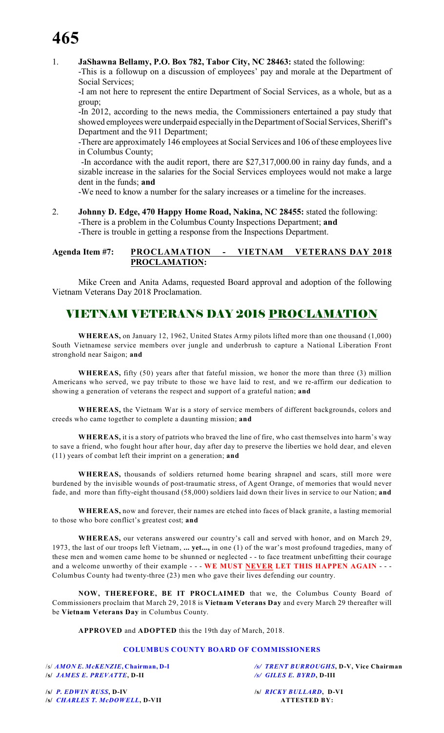# **465**

1. **JaShawna Bellamy, P.O. Box 782, Tabor City, NC 28463:** stated the following:

-This is a followup on a discussion of employees' pay and morale at the Department of Social Services;

-I am not here to represent the entire Department of Social Services, as a whole, but as a group;

-In 2012, according to the news media, the Commissioners entertained a pay study that showed employees were underpaid especially in the Department of Social Services, Sheriff's Department and the 911 Department;

-There are approximately 146 employees at Social Services and 106 of these employees live in Columbus County;

 -In accordance with the audit report, there are \$27,317,000.00 in rainy day funds, and a sizable increase in the salaries for the Social Services employees would not make a large dent in the funds; **and**

-We need to know a number for the salary increases or a timeline for the increases.

2. **Johnny D. Edge, 470 Happy Home Road, Nakina, NC 28455:** stated the following: -There is a problem in the Columbus County Inspections Department; **and** -There is trouble in getting a response from the Inspections Department.

# **Agenda Item #7: PROCLAMATION - VIETNAM VETERANS DAY 2018 PROCLAMATION:**

Mike Creen and Anita Adams, requested Board approval and adoption of the following Vietnam Veterans Day 2018 Proclamation.

# VIETNAM VETERANS DAY 2018 PROCLAMATION

**WHEREAS,** on January 12, 1962, United States Army pilots lifted more than one thousand (1,000) South Vietnamese service members over jungle and underbrush to capture a National Liberation Front stronghold near Saigon; **and**

**WHEREAS,** fifty (50) years after that fateful mission, we honor the more than three (3) million Americans who served, we pay tribute to those we have laid to rest, and we re-affirm our dedication to showing a generation of veterans the respect and support of a grateful nation; **and**

**WHEREAS,** the Vietnam War is a story of service members of different backgrounds, colors and creeds who came together to complete a daunting mission; **and**

**WHEREAS,** it is a story of patriots who braved the line of fire, who cast themselves into harm's way to save a friend, who fought hour after hour, day after day to preserve the liberties we hold dear, and eleven (11) years of combat left their imprint on a generation; **and**

**WHEREAS,** thousands of soldiers returned home bearing shrapnel and scars, still more were burdened by the invisible wounds of post-traumatic stress, of Agent Orange, of memories that would never fade, and more than fifty-eight thousand (58,000) soldiers laid down their lives in service to our Nation; **and**

**WHEREAS,** now and forever, their names are etched into faces of black granite, a lasting memorial to those who bore conflict's greatest cost; **and**

**WHEREAS,** our veterans answered our country's call and served with honor, and on March 29, 1973, the last of our troops left Vietnam, **... yet...,** in one (1) of the war's most profound tragedies, many of these men and women came home to be shunned or neglected - - to face treatment unbefitting their courage and a welcome unworthy of their example - - - WE MUST NEVER LET THIS HAPPEN AGAIN - -Columbus County had twenty-three (23) men who gave their lives defending our country.

**NOW, THEREFORE, BE IT PROCLAIMED** that we, the Columbus County Board of Commissioners proclaim that March 29, 2018 is **Vietnam Veterans Day** and every March 29 thereafter will be **Vietnam Veterans Day** in Columbus County.

**APPROVED** and **ADOPTED** this the 19th day of March, 2018.

### **COLUMBUS COUNTY BOARD OF COMMISSIONERS**

**/s/** *JAMES E. PREVATTE***, D-II** */s/ GILES E. BYRD***, D-III**

/s/ *AMON E. McKENZIE***, Chairman, D-I** */s/ TRENT BURROUGHS***, D-V, Vice Chairman**

**/s/** *P. EDWIN RUSS***, D-IV /s/** *RICKY BULLARD***, D-VI /s/** *CHARLES T. McDOWELL***, D-VII ATTESTED BY:**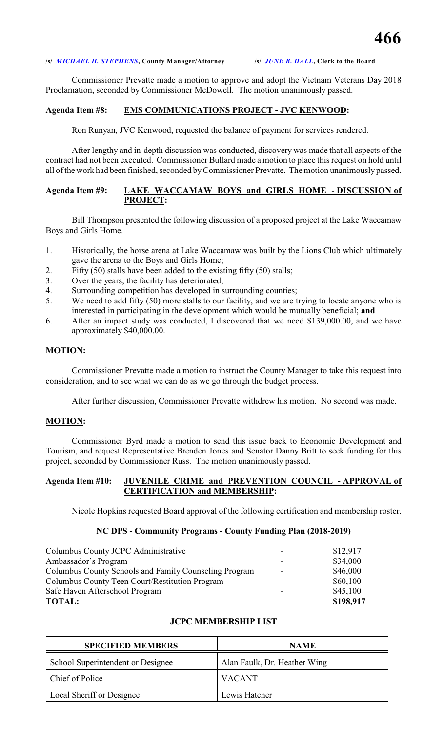### **/s/** *MICHAEL H. STEPHENS***, County Manager/Attorney /s/** *JUNE B. HALL***, Clerk to the Board**

Commissioner Prevatte made a motion to approve and adopt the Vietnam Veterans Day 2018 Proclamation, seconded by Commissioner McDowell. The motion unanimously passed.

## **Agenda Item #8: EMS COMMUNICATIONS PROJECT - JVC KENWOOD:**

Ron Runyan, JVC Kenwood, requested the balance of payment for services rendered.

After lengthy and in-depth discussion was conducted, discovery was made that all aspects of the contract had not been executed. Commissioner Bullard made a motion to place this request on hold until all of the work had been finished, seconded byCommissioner Prevatte. The motion unanimously passed.

### **Agenda Item #9: LAKE WACCAMAW BOYS and GIRLS HOME - DISCUSSION of PROJECT:**

Bill Thompson presented the following discussion of a proposed project at the Lake Waccamaw Boys and Girls Home.

- 1. Historically, the horse arena at Lake Waccamaw was built by the Lions Club which ultimately gave the arena to the Boys and Girls Home;
- 2. Fifty (50) stalls have been added to the existing fifty (50) stalls;
- 3. Over the years, the facility has deteriorated;
- 4. Surrounding competition has developed in surrounding counties;
- 5. We need to add fifty (50) more stalls to our facility, and we are trying to locate anyone who is interested in participating in the development which would be mutually beneficial; **and**
- 6. After an impact study was conducted, I discovered that we need \$139,000.00, and we have approximately \$40,000.00.

### **MOTION:**

Commissioner Prevatte made a motion to instruct the County Manager to take this request into consideration, and to see what we can do as we go through the budget process.

After further discussion, Commissioner Prevatte withdrew his motion. No second was made.

### **MOTION:**

Commissioner Byrd made a motion to send this issue back to Economic Development and Tourism, and request Representative Brenden Jones and Senator Danny Britt to seek funding for this project, seconded by Commissioner Russ. The motion unanimously passed.

## **Agenda Item #10: JUVENILE CRIME and PREVENTION COUNCIL - APPROVAL of CERTIFICATION and MEMBERSHIP:**

Nicole Hopkins requested Board approval of the following certification and membership roster.

### **NC DPS - Community Programs - County Funding Plan (2018-2019)**

| Columbus County JCPC Administrative                   |                          | \$12,917  |
|-------------------------------------------------------|--------------------------|-----------|
| Ambassador's Program                                  |                          | \$34,000  |
| Columbus County Schools and Family Counseling Program | $\overline{\phantom{a}}$ | \$46,000  |
| Columbus County Teen Court/Restitution Program        | -                        | \$60,100  |
| Safe Haven Afterschool Program                        | -                        | \$45,100  |
| <b>TOTAL:</b>                                         |                          | \$198,917 |

### **JCPC MEMBERSHIP LIST**

| <b>SPECIFIED MEMBERS</b>          | <b>NAME</b>                  |
|-----------------------------------|------------------------------|
| School Superintendent or Designee | Alan Faulk, Dr. Heather Wing |
| Chief of Police                   | <b>VACANT</b>                |
| Local Sheriff or Designee         | Lewis Hatcher                |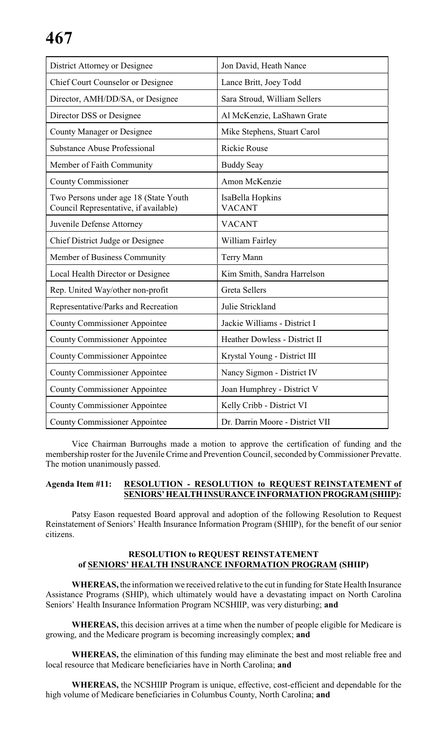| District Attorney or Designee                                                  | Jon David, Heath Nance            |
|--------------------------------------------------------------------------------|-----------------------------------|
| <b>Chief Court Counselor or Designee</b>                                       | Lance Britt, Joey Todd            |
| Director, AMH/DD/SA, or Designee                                               | Sara Stroud, William Sellers      |
| Director DSS or Designee                                                       | Al McKenzie, LaShawn Grate        |
| <b>County Manager or Designee</b>                                              | Mike Stephens, Stuart Carol       |
| <b>Substance Abuse Professional</b>                                            | <b>Rickie Rouse</b>               |
| Member of Faith Community                                                      | <b>Buddy Seay</b>                 |
| <b>County Commissioner</b>                                                     | Amon McKenzie                     |
| Two Persons under age 18 (State Youth<br>Council Representative, if available) | IsaBella Hopkins<br><b>VACANT</b> |
| Juvenile Defense Attorney                                                      | <b>VACANT</b>                     |
| Chief District Judge or Designee                                               | William Fairley                   |
| Member of Business Community                                                   | Terry Mann                        |
| Local Health Director or Designee                                              | Kim Smith, Sandra Harrelson       |
| Rep. United Way/other non-profit                                               | <b>Greta Sellers</b>              |
| Representative/Parks and Recreation                                            | Julie Strickland                  |
| <b>County Commissioner Appointee</b>                                           | Jackie Williams - District I      |
| <b>County Commissioner Appointee</b>                                           | Heather Dowless - District II     |
| <b>County Commissioner Appointee</b>                                           | Krystal Young - District III      |
| <b>County Commissioner Appointee</b>                                           | Nancy Sigmon - District IV        |
| <b>County Commissioner Appointee</b>                                           | Joan Humphrey - District V        |
| <b>County Commissioner Appointee</b>                                           | Kelly Cribb - District VI         |
| <b>County Commissioner Appointee</b>                                           | Dr. Darrin Moore - District VII   |

Vice Chairman Burroughs made a motion to approve the certification of funding and the membership roster for the Juvenile Crime and Prevention Council, seconded by Commissioner Prevatte. The motion unanimously passed.

### **Agenda Item #11: RESOLUTION - RESOLUTION to REQUEST REINSTATEMENT of SENIORS' HEALTH INSURANCE INFORMATION PROGRAM (SHIIP):**

Patsy Eason requested Board approval and adoption of the following Resolution to Request Reinstatement of Seniors' Health Insurance Information Program (SHIIP), for the benefit of our senior citizens.

# **RESOLUTION to REQUEST REINSTATEMENT of SENIORS' HEALTH INSURANCE INFORMATION PROGRAM (SHIIP)**

**WHEREAS,** the information we received relative to the cut in funding for State Health Insurance Assistance Programs (SHIP), which ultimately would have a devastating impact on North Carolina Seniors' Health Insurance Information Program NCSHIIP, was very disturbing; **and**

**WHEREAS,** this decision arrives at a time when the number of people eligible for Medicare is growing, and the Medicare program is becoming increasingly complex; **and**

**WHEREAS,** the elimination of this funding may eliminate the best and most reliable free and local resource that Medicare beneficiaries have in North Carolina; **and**

**WHEREAS,** the NCSHIIP Program is unique, effective, cost-efficient and dependable for the high volume of Medicare beneficiaries in Columbus County, North Carolina; **and**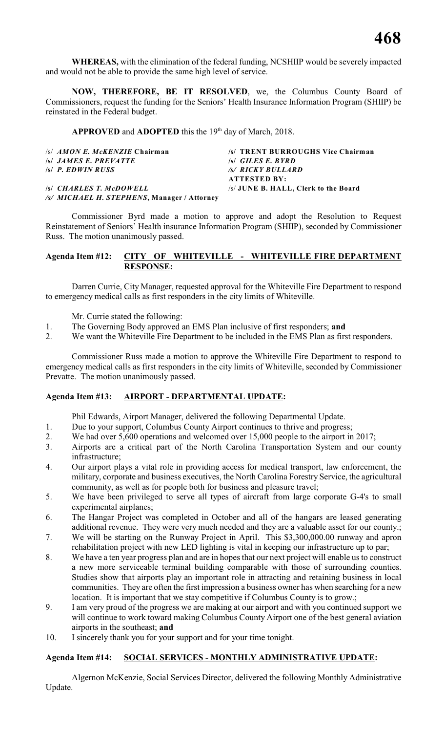**WHEREAS,** with the elimination of the federal funding, NCSHIIP would be severely impacted and would not be able to provide the same high level of service.

**NOW, THEREFORE, BE IT RESOLVED**, we, the Columbus County Board of Commissioners, request the funding for the Seniors' Health Insurance Information Program (SHIIP) be reinstated in the Federal budget.

**APPROVED** and **ADOPTED** this the 19<sup>th</sup> day of March, 2018.

| $\sqrt{s}/AMONE$ . McKENZIE Chairman        | /s/ TRENT BURROUGHS Vice Chairman    |
|---------------------------------------------|--------------------------------------|
| <i>S JAMES E. PREVATTE</i>                  | $\mathcal{S}$ GILES E. BYRD          |
| $\sqrt{s}$ P. EDWIN RUSS                    | /s/ RICKY BULLARD                    |
|                                             | <b>ATTESTED BY:</b>                  |
| <b>SSI CHARLES T. McDOWELL</b>              | /s/ JUNE B. HALL, Clerk to the Board |
| /s/ MICHAEL H. STEPHENS, Manager / Attorney |                                      |

Commissioner Byrd made a motion to approve and adopt the Resolution to Request Reinstatement of Seniors' Health insurance Information Program (SHIIP), seconded by Commissioner Russ. The motion unanimously passed.

# **Agenda Item #12: CITY OF WHITEVILLE - WHITEVILLE FIRE DEPARTMENT RESPONSE:**

Darren Currie, City Manager, requested approval for the Whiteville Fire Department to respond to emergency medical calls as first responders in the city limits of Whiteville.

Mr. Currie stated the following:

- 1. The Governing Body approved an EMS Plan inclusive of first responders; **and**
- 2. We want the Whiteville Fire Department to be included in the EMS Plan as first responders.

Commissioner Russ made a motion to approve the Whiteville Fire Department to respond to emergency medical calls as first responders in the city limits of Whiteville, seconded by Commissioner Prevatte. The motion unanimously passed.

# **Agenda Item #13: AIRPORT - DEPARTMENTAL UPDATE:**

Phil Edwards, Airport Manager, delivered the following Departmental Update.

- 1. Due to your support, Columbus County Airport continues to thrive and progress;
- 2. We had over 5,600 operations and welcomed over 15,000 people to the airport in 2017;
- 3. Airports are a critical part of the North Carolina Transportation System and our county infrastructure;
- 4. Our airport plays a vital role in providing access for medical transport, law enforcement, the military, corporate and business executives, the North Carolina Forestry Service, the agricultural community, as well as for people both for business and pleasure travel;
- 5. We have been privileged to serve all types of aircraft from large corporate G-4's to small experimental airplanes;
- 6. The Hangar Project was completed in October and all of the hangars are leased generating additional revenue. They were very much needed and they are a valuable asset for our county.;
- 7. We will be starting on the Runway Project in April. This \$3,300,000.00 runway and apron rehabilitation project with new LED lighting is vital in keeping our infrastructure up to par;
- 8. We have a ten year progress plan and are in hopes that our next project will enable us to construct a new more serviceable terminal building comparable with those of surrounding counties. Studies show that airports play an important role in attracting and retaining business in local communities. They are often the first impression a business owner has when searching for a new location. It is important that we stay competitive if Columbus County is to grow.;
- 9. I am very proud of the progress we are making at our airport and with you continued support we will continue to work toward making Columbus County Airport one of the best general aviation airports in the southeast; **and**
- 10. I sincerely thank you for your support and for your time tonight.

# **Agenda Item #14: SOCIAL SERVICES - MONTHLY ADMINISTRATIVE UPDATE:**

Algernon McKenzie, Social Services Director, delivered the following Monthly Administrative Update.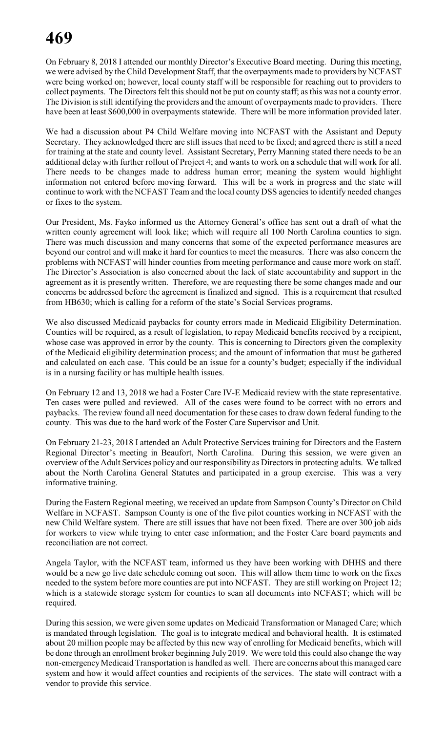On February 8, 2018 I attended our monthly Director's Executive Board meeting. During this meeting, we were advised by the Child Development Staff, that the overpayments made to providers by NCFAST were being worked on; however, local county staff will be responsible for reaching out to providers to collect payments. The Directors felt this should not be put on county staff; as this was not a county error. The Division is still identifying the providers and the amount of overpayments made to providers. There have been at least \$600,000 in overpayments statewide. There will be more information provided later.

We had a discussion about P4 Child Welfare moving into NCFAST with the Assistant and Deputy Secretary. They acknowledged there are still issues that need to be fixed; and agreed there is still a need for training at the state and county level. Assistant Secretary, Perry Manning stated there needs to be an additional delay with further rollout of Project 4; and wants to work on a schedule that will work for all. There needs to be changes made to address human error; meaning the system would highlight information not entered before moving forward. This will be a work in progress and the state will continue to work with the NCFAST Team and the local county DSS agencies to identify needed changes or fixes to the system.

Our President, Ms. Fayko informed us the Attorney General's office has sent out a draft of what the written county agreement will look like; which will require all 100 North Carolina counties to sign. There was much discussion and many concerns that some of the expected performance measures are beyond our control and will make it hard for counties to meet the measures. There was also concern the problems with NCFAST will hinder counties from meeting performance and cause more work on staff. The Director's Association is also concerned about the lack of state accountability and support in the agreement as it is presently written. Therefore, we are requesting there be some changes made and our concerns be addressed before the agreement is finalized and signed. This is a requirement that resulted from HB630; which is calling for a reform of the state's Social Services programs.

We also discussed Medicaid paybacks for county errors made in Medicaid Eligibility Determination. Counties will be required, as a result of legislation, to repay Medicaid benefits received by a recipient, whose case was approved in error by the county. This is concerning to Directors given the complexity of the Medicaid eligibility determination process; and the amount of information that must be gathered and calculated on each case. This could be an issue for a county's budget; especially if the individual is in a nursing facility or has multiple health issues.

On February 12 and 13, 2018 we had a Foster Care IV-E Medicaid review with the state representative. Ten cases were pulled and reviewed. All of the cases were found to be correct with no errors and paybacks. The review found all need documentation for these cases to draw down federal funding to the county. This was due to the hard work of the Foster Care Supervisor and Unit.

On February 21-23, 2018 I attended an Adult Protective Services training for Directors and the Eastern Regional Director's meeting in Beaufort, North Carolina. During this session, we were given an overview of the Adult Services policy and our responsibility as Directors in protecting adults. We talked about the North Carolina General Statutes and participated in a group exercise. This was a very informative training.

During the Eastern Regional meeting, we received an update from Sampson County's Director on Child Welfare in NCFAST. Sampson County is one of the five pilot counties working in NCFAST with the new Child Welfare system. There are still issues that have not been fixed. There are over 300 job aids for workers to view while trying to enter case information; and the Foster Care board payments and reconciliation are not correct.

Angela Taylor, with the NCFAST team, informed us they have been working with DHHS and there would be a new go live date schedule coming out soon. This will allow them time to work on the fixes needed to the system before more counties are put into NCFAST. They are still working on Project 12; which is a statewide storage system for counties to scan all documents into NCFAST; which will be required.

During this session, we were given some updates on Medicaid Transformation or Managed Care; which is mandated through legislation. The goal is to integrate medical and behavioral health. It is estimated about 20 million people may be affected by this new way of enrolling for Medicaid benefits, which will be done through an enrollment broker beginning July 2019. We were told this could also change the way non-emergency Medicaid Transportation is handled as well. There are concerns about this managed care system and how it would affect counties and recipients of the services. The state will contract with a vendor to provide this service.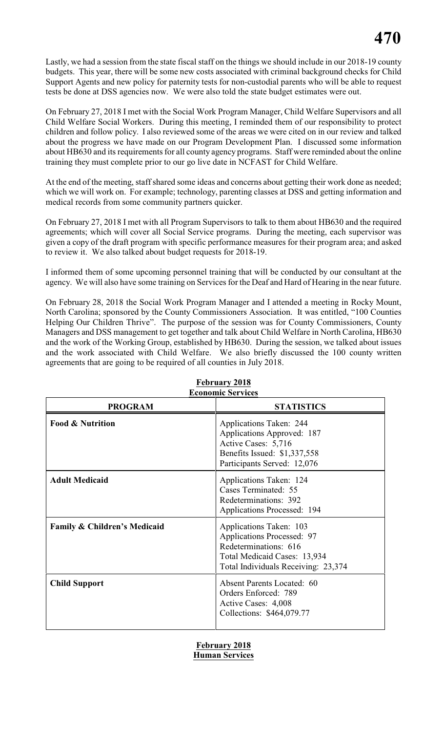Lastly, we had a session from the state fiscal staff on the things we should include in our 2018-19 county budgets. This year, there will be some new costs associated with criminal background checks for Child Support Agents and new policy for paternity tests for non-custodial parents who will be able to request tests be done at DSS agencies now. We were also told the state budget estimates were out.

On February 27, 2018 I met with the Social Work Program Manager, Child Welfare Supervisors and all Child Welfare Social Workers. During this meeting, I reminded them of our responsibility to protect children and follow policy. I also reviewed some of the areas we were cited on in our review and talked about the progress we have made on our Program Development Plan. I discussed some information about HB630 and its requirements for all county agency programs. Staff were reminded about the online training they must complete prior to our go live date in NCFAST for Child Welfare.

At the end of the meeting, staff shared some ideas and concerns about getting their work done as needed; which we will work on. For example; technology, parenting classes at DSS and getting information and medical records from some community partners quicker.

On February 27, 2018 I met with all Program Supervisors to talk to them about HB630 and the required agreements; which will cover all Social Service programs. During the meeting, each supervisor was given a copy of the draft program with specific performance measures for their program area; and asked to review it. We also talked about budget requests for 2018-19.

I informed them of some upcoming personnel training that will be conducted by our consultant at the agency. We will also have some training on Services for the Deaf and Hard of Hearing in the near future.

On February 28, 2018 the Social Work Program Manager and I attended a meeting in Rocky Mount, North Carolina; sponsored by the County Commissioners Association. It was entitled, "100 Counties Helping Our Children Thrive". The purpose of the session was for County Commissioners, County Managers and DSS management to get together and talk about Child Welfare in North Carolina, HB630 and the work of the Working Group, established by HB630. During the session, we talked about issues and the work associated with Child Welfare. We also briefly discussed the 100 county written agreements that are going to be required of all counties in July 2018.

| есопонів эсі уксэ                       |                                                                                                                                                              |  |  |  |  |
|-----------------------------------------|--------------------------------------------------------------------------------------------------------------------------------------------------------------|--|--|--|--|
| <b>PROGRAM</b>                          | <b>STATISTICS</b>                                                                                                                                            |  |  |  |  |
| <b>Food &amp; Nutrition</b>             | Applications Taken: 244<br>Applications Approved: 187<br>Active Cases: 5,716<br>Benefits Issued: \$1,337,558<br>Participants Served: 12,076                  |  |  |  |  |
| <b>Adult Medicaid</b>                   | Applications Taken: 124<br>Cases Terminated: 55<br>Redeterminations: 392<br>Applications Processed: 194                                                      |  |  |  |  |
| <b>Family &amp; Children's Medicaid</b> | Applications Taken: 103<br><b>Applications Processed: 97</b><br>Redeterminations: 616<br>Total Medicaid Cases: 13,934<br>Total Individuals Receiving: 23,374 |  |  |  |  |
| <b>Child Support</b>                    | <b>Absent Parents Located: 60</b><br>Orders Enforced: 789<br>Active Cases: 4,008<br>Collections: \$464,079.77                                                |  |  |  |  |

### **February 2018 Economic Services**

# **February 2018 Human Services**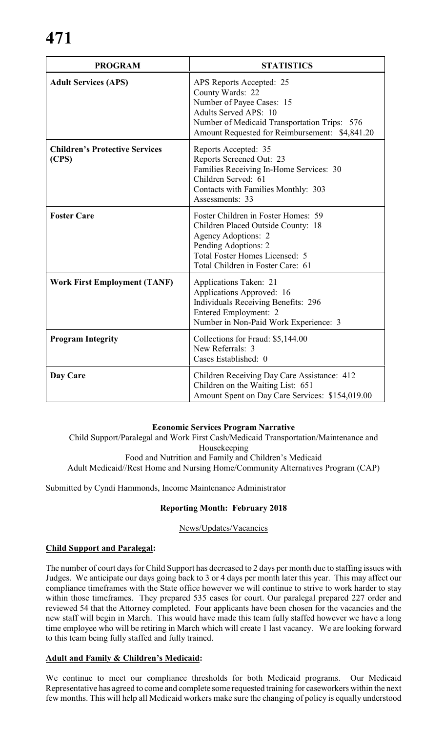| <b>PROGRAM</b>                                 | <b>STATISTICS</b>                                                                                                                                                                                           |
|------------------------------------------------|-------------------------------------------------------------------------------------------------------------------------------------------------------------------------------------------------------------|
| <b>Adult Services (APS)</b>                    | APS Reports Accepted: 25<br>County Wards: 22<br>Number of Payee Cases: 15<br><b>Adults Served APS: 10</b><br>Number of Medicaid Transportation Trips: 576<br>Amount Requested for Reimbursement: \$4,841.20 |
| <b>Children's Protective Services</b><br>(CPS) | Reports Accepted: 35<br>Reports Screened Out: 23<br>Families Receiving In-Home Services: 30<br>Children Served: 61<br>Contacts with Families Monthly: 303<br>Assessments: 33                                |
| <b>Foster Care</b>                             | Foster Children in Foster Homes: 59<br>Children Placed Outside County: 18<br><b>Agency Adoptions: 2</b><br>Pending Adoptions: 2<br>Total Foster Homes Licensed: 5<br>Total Children in Foster Care: 61      |
| <b>Work First Employment (TANF)</b>            | Applications Taken: 21<br>Applications Approved: 16<br><b>Individuals Receiving Benefits: 296</b><br>Entered Employment: 2<br>Number in Non-Paid Work Experience: 3                                         |
| <b>Program Integrity</b>                       | Collections for Fraud: \$5,144.00<br>New Referrals: 3<br>Cases Established: 0                                                                                                                               |
| Day Care                                       | Children Receiving Day Care Assistance: 412<br>Children on the Waiting List: 651<br>Amount Spent on Day Care Services: \$154,019.00                                                                         |

# **Economic Services Program Narrative**

Child Support/Paralegal and Work First Cash/Medicaid Transportation/Maintenance and Housekeeping Food and Nutrition and Family and Children's Medicaid Adult Medicaid//Rest Home and Nursing Home/Community Alternatives Program (CAP)

Submitted by Cyndi Hammonds, Income Maintenance Administrator

# **Reporting Month: February 2018**

News/Updates/Vacancies

# **Child Support and Paralegal:**

The number of court days for Child Support has decreased to 2 days per month due to staffing issues with Judges. We anticipate our days going back to 3 or 4 days per month later this year. This may affect our compliance timeframes with the State office however we will continue to strive to work harder to stay within those timeframes. They prepared 535 cases for court. Our paralegal prepared 227 order and reviewed 54 that the Attorney completed. Four applicants have been chosen for the vacancies and the new staff will begin in March. This would have made this team fully staffed however we have a long time employee who will be retiring in March which will create 1 last vacancy. We are looking forward to this team being fully staffed and fully trained.

# **Adult and Family & Children's Medicaid:**

We continue to meet our compliance thresholds for both Medicaid programs. Our Medicaid Representative has agreed to come and complete some requested training for caseworkers within the next few months. This will help all Medicaid workers make sure the changing of policy is equally understood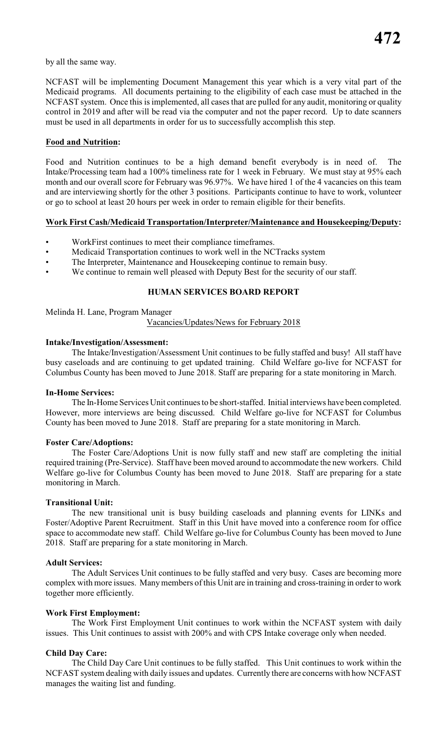by all the same way.

NCFAST will be implementing Document Management this year which is a very vital part of the Medicaid programs. All documents pertaining to the eligibility of each case must be attached in the NCFAST system. Once this is implemented, all cases that are pulled for any audit, monitoring or quality control in 2019 and after will be read via the computer and not the paper record. Up to date scanners must be used in all departments in order for us to successfully accomplish this step.

## **Food and Nutrition:**

Food and Nutrition continues to be a high demand benefit everybody is in need of. The Intake/Processing team had a 100% timeliness rate for 1 week in February. We must stay at 95% each month and our overall score for February was 96.97%. We have hired 1 of the 4 vacancies on this team and are interviewing shortly for the other 3 positions. Participants continue to have to work, volunteer or go to school at least 20 hours per week in order to remain eligible for their benefits.

### **Work First Cash/Medicaid Transportation/Interpreter/Maintenance and Housekeeping/Deputy:**

- WorkFirst continues to meet their compliance timeframes.
- Medicaid Transportation continues to work well in the NCTracks system
- The Interpreter, Maintenance and Housekeeping continue to remain busy.
- We continue to remain well pleased with Deputy Best for the security of our staff.

# **HUMAN SERVICES BOARD REPORT**

Melinda H. Lane, Program Manager

Vacancies/Updates/News for February 2018

# **Intake/Investigation/Assessment:**

The Intake/Investigation/Assessment Unit continues to be fully staffed and busy! All staff have busy caseloads and are continuing to get updated training. Child Welfare go-live for NCFAST for Columbus County has been moved to June 2018. Staff are preparing for a state monitoring in March.

### **In-Home Services:**

The In-Home Services Unit continues to be short-staffed. Initial interviews have been completed. However, more interviews are being discussed. Child Welfare go-live for NCFAST for Columbus County has been moved to June 2018. Staff are preparing for a state monitoring in March.

### **Foster Care/Adoptions:**

The Foster Care/Adoptions Unit is now fully staff and new staff are completing the initial required training (Pre-Service). Staff have been moved around to accommodate the new workers. Child Welfare go-live for Columbus County has been moved to June 2018. Staff are preparing for a state monitoring in March.

### **Transitional Unit:**

The new transitional unit is busy building caseloads and planning events for LINKs and Foster/Adoptive Parent Recruitment. Staff in this Unit have moved into a conference room for office space to accommodate new staff. Child Welfare go-live for Columbus County has been moved to June 2018. Staff are preparing for a state monitoring in March.

### **Adult Services:**

The Adult Services Unit continues to be fully staffed and very busy. Cases are becoming more complex with more issues. Many members of this Unit are in training and cross-training in order to work together more efficiently.

# **Work First Employment:**

The Work First Employment Unit continues to work within the NCFAST system with daily issues. This Unit continues to assist with 200% and with CPS Intake coverage only when needed.

# **Child Day Care:**

The Child Day Care Unit continues to be fully staffed. This Unit continues to work within the NCFAST system dealing with daily issues and updates. Currently there are concerns with how NCFAST manages the waiting list and funding.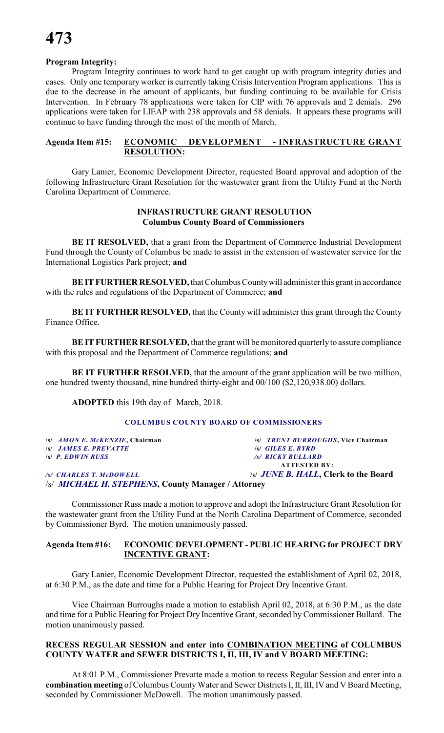# **Program Integrity:**

Program Integrity continues to work hard to get caught up with program integrity duties and cases. Only one temporary worker is currently taking Crisis Intervention Program applications. This is due to the decrease in the amount of applicants, but funding continuing to be available for Crisis Intervention. In February 78 applications were taken for CIP with 76 approvals and 2 denials. 296 applications were taken for LIEAP with 238 approvals and 58 denials. It appears these programs will continue to have funding through the most of the month of March.

# **Agenda Item #15: ECONOMIC DEVELOPMENT - INFRASTRUCTURE GRANT RESOLUTION:**

Gary Lanier, Economic Development Director, requested Board approval and adoption of the following Infrastructure Grant Resolution for the wastewater grant from the Utility Fund at the North Carolina Department of Commerce.

## **INFRASTRUCTURE GRANT RESOLUTION Columbus County Board of Commissioners**

**BE IT RESOLVED,** that a grant from the Department of Commerce Industrial Development Fund through the County of Columbus be made to assist in the extension of wastewater service for the International Logistics Park project; **and**

**BE IT FURTHER RESOLVED,** that Columbus County will administer this grant in accordance with the rules and regulations of the Department of Commerce; **and**

**BE IT FURTHER RESOLVED,** that the County will administer this grant through the County Finance Office.

**BE IT FURTHER RESOLVED, that the grant will be monitored quarterly to assure compliance** with this proposal and the Department of Commerce regulations; **and**

**BE IT FURTHER RESOLVED,** that the amount of the grant application will be two million, one hundred twenty thousand, nine hundred thirty-eight and 00/100 (\$2,120,938.00) dollars.

**ADOPTED** this 19th day of March, 2018.

### **COLUMBUS COUNTY BOARD OF COMMISSIONERS**

**/s/** *JAMES E. PREVATTE* **/s/** *GILES E. BYRD* **/s/** *P. EDWIN RUSS /s/ RICKY BULLARD*

**/s/** *AMON E. McKENZIE***, Chairman /s/** *TRENT BURROUGHS***, Vice Chairman ATTESTED BY:** */s/ CHARLES T. McDOWELL* **/s/** *JUNE B. HALL***, Clerk to the Board**

/s/ *MICHAEL H. STEPHENS***, County Manager / Attorney**

Commissioner Russ made a motion to approve and adopt the Infrastructure Grant Resolution for the wastewater grant from the Utility Fund at the North Carolina Department of Commerce, seconded by Commissioner Byrd. The motion unanimously passed.

# **Agenda Item #16: ECONOMIC DEVELOPMENT - PUBLIC HEARING for PROJECT DRY INCENTIVE GRANT:**

Gary Lanier, Economic Development Director, requested the establishment of April 02, 2018, at 6:30 P.M., as the date and time for a Public Hearing for Project Dry Incentive Grant.

Vice Chairman Burroughs made a motion to establish April 02, 2018, at 6:30 P.M., as the date and time for a Public Hearing for Project Dry Incentive Grant, seconded by Commissioner Bullard. The motion unanimously passed.

# **RECESS REGULAR SESSION and enter into COMBINATION MEETING of COLUMBUS COUNTY WATER and SEWER DISTRICTS I, II, III, IV and V BOARD MEETING:**

At 8:01 P.M., Commissioner Prevatte made a motion to recess Regular Session and enter into a **combination meeting** of Columbus CountyWater and Sewer Districts I, II, III, IV and V Board Meeting, seconded by Commissioner McDowell. The motion unanimously passed.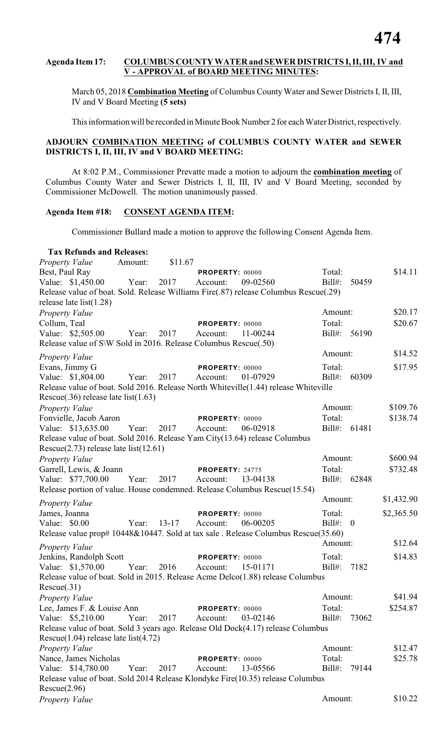# **Agenda Item 17: COLUMBUS COUNTY WATER and SEWER DISTRICTS I, II, III, IV and V - APPROVAL of BOARD MEETING MINUTES:**

March 05, 2018 **Combination Meeting** of Columbus County Water and Sewer Districts I, II, III, IV and V Board Meeting **(5 sets)**

This information will be recorded in Minute Book Number 2 for each Water District, respectively.

# **ADJOURN COMBINATION MEETING of COLUMBUS COUNTY WATER and SEWER DISTRICTS I, II, III, IV and V BOARD MEETING:**

At 8:02 P.M., Commissioner Prevatte made a motion to adjourn the **combination meeting** of Columbus County Water and Sewer Districts I, II, III, IV and V Board Meeting, seconded by Commissioner McDowell. The motion unanimously passed.

# **Agenda Item #18: CONSENT AGENDA ITEM:**

Commissioner Bullard made a motion to approve the following Consent Agenda Item.

| <b>Tax Refunds and Releases:</b>                                                     |         |           |                 |          |              |              |            |
|--------------------------------------------------------------------------------------|---------|-----------|-----------------|----------|--------------|--------------|------------|
| <b>Property Value</b>                                                                | Amount: | \$11.67   |                 |          |              |              |            |
| Best, Paul Ray                                                                       |         |           | PROPERTY: 00000 |          | Total:       |              | \$14.11    |
| Value: \$1,450.00                                                                    | Year:   | 2017      | Account:        | 09-02560 | $Bill#$ :    | 50459        |            |
| Release value of boat. Sold. Release Williams Fire(.87) release Columbus Rescue(.29) |         |           |                 |          |              |              |            |
| release late $list(1.28)$                                                            |         |           |                 |          |              |              |            |
| Property Value                                                                       |         |           |                 |          | Amount:      |              | \$20.17    |
| Collum, Teal                                                                         |         |           | PROPERTY: 00000 |          | Total:       |              | \$20.67    |
| Value: \$2,505.00                                                                    | Year:   | 2017      | Account:        | 11-00244 | $Bill#$ :    | 56190        |            |
| Release value of S\W Sold in 2016. Release Columbus Rescue(.50)                      |         |           |                 |          |              |              |            |
| <b>Property Value</b>                                                                |         |           |                 |          | Amount:      |              | \$14.52    |
| Evans, Jimmy G                                                                       |         |           | PROPERTY: 00000 |          | Total:       |              | \$17.95    |
| Value: \$1,804.00                                                                    | Year:   | 2017      | Account:        | 01-07929 | $Bill#$ :    | 60309        |            |
| Release value of boat. Sold 2016. Release North Whiteville (1.44) release Whiteville |         |           |                 |          |              |              |            |
| Rescue $(.36)$ release late list $(1.63)$                                            |         |           |                 |          |              |              |            |
| Property Value                                                                       |         |           |                 |          | Amount:      |              | \$109.76   |
| Fonvielle, Jacob Aaron                                                               |         |           | PROPERTY: 00000 |          | Total:       |              | \$138.74   |
| Value: \$13,635.00                                                                   | Year:   | 2017      | Account:        | 06-02918 | $Bill#$ :    | 61481        |            |
| Release value of boat. Sold 2016. Release Yam City(13.64) release Columbus           |         |           |                 |          |              |              |            |
| Rescue $(2.73)$ release late list $(12.61)$                                          |         |           |                 |          |              |              |            |
| Property Value                                                                       |         |           |                 |          | Amount:      |              | \$600.94   |
| Garrell, Lewis, & Joann                                                              |         |           | PROPERTY: 24775 |          | Total:       |              | \$732.48   |
| Value: \$77,700.00                                                                   | Year:   | 2017      | Account:        | 13-04138 | Bill#: 62848 |              |            |
| Release portion of value. House condemned. Release Columbus Rescue(15.54)            |         |           |                 |          |              |              |            |
| <b>Property Value</b>                                                                |         |           |                 |          | Amount:      |              | \$1,432.90 |
| James, Joanna                                                                        |         |           | PROPERTY: 00000 |          | Total:       |              | \$2,365.50 |
| Value: \$0.00                                                                        | Year:   | $13 - 17$ | Account:        | 06-00205 | $Bill#$ :    | $\mathbf{0}$ |            |
| Release value prop# 10448&10447. Sold at tax sale . Release Columbus Rescue(35.60)   |         |           |                 |          |              |              |            |
| Property Value                                                                       |         |           |                 |          | Amount:      |              | \$12.64    |
| Jenkins, Randolph Scott                                                              |         |           | PROPERTY: 00000 |          | Total:       |              | \$14.83    |
| Value: \$1,570.00                                                                    | Year:   | 2016      | Account:        | 15-01171 | $Bill#$ :    | 7182         |            |
| Release value of boat. Sold in 2015. Release Acme Delco(1.88) release Columbus       |         |           |                 |          |              |              |            |
| Rescue(.31)                                                                          |         |           |                 |          |              |              |            |
| <b>Property Value</b>                                                                |         |           |                 |          | Amount:      |              | \$41.94    |
| Lee, James F. & Louise Ann                                                           |         |           | PROPERTY: 00000 |          | Total:       |              | \$254.87   |
| Value: \$5,210.00                                                                    | Year:   | 2017      | Account:        | 03-02146 | $Bill#$ :    | 73062        |            |
| Release value of boat. Sold 3 years ago. Release Old Dock(4.17) release Columbus     |         |           |                 |          |              |              |            |
| Rescue $(1.04)$ release late list $(4.72)$                                           |         |           |                 |          |              |              |            |
| <b>Property Value</b>                                                                |         |           |                 |          | Amount:      |              | \$12.47    |
| Nance, James Nicholas                                                                |         |           | PROPERTY: 00000 |          | Total:       |              | \$25.78    |
| Value: \$14,780.00                                                                   | Year:   | 2017      | Account:        | 13-05566 | $Bill#$ :    | 79144        |            |
| Release value of boat. Sold 2014 Release Klondyke Fire(10.35) release Columbus       |         |           |                 |          |              |              |            |
| Rescue(2.96)                                                                         |         |           |                 |          |              |              |            |
| Property Value                                                                       |         |           |                 |          | Amount:      |              | \$10.22    |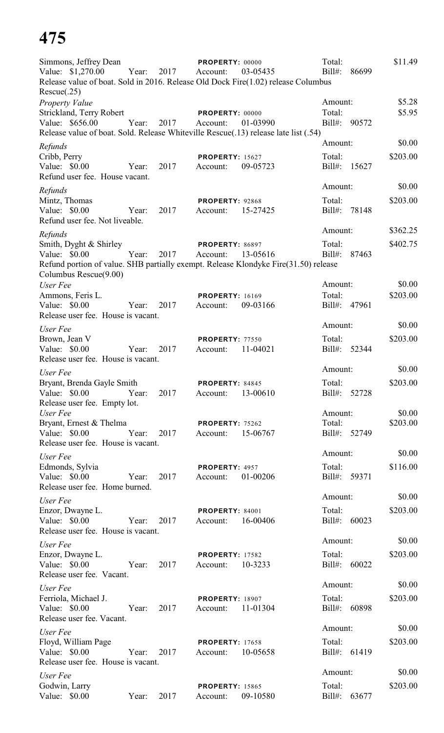# **475**

| Simmons, Jeffrey Dean<br>Value: \$1,270.00<br>Rescue(.25)                                   | Year: | 2017 | PROPERTY: 00000<br>Account:        | 03-05435<br>Release value of boat. Sold in 2016. Release Old Dock Fire(1.02) release Columbus   | Total:<br>$Bill#$ :               | 86699 | \$11.49              |
|---------------------------------------------------------------------------------------------|-------|------|------------------------------------|-------------------------------------------------------------------------------------------------|-----------------------------------|-------|----------------------|
| Property Value<br>Strickland, Terry Robert<br>Value: \$656.00                               | Year: | 2017 | PROPERTY: 00000<br>Account:        | 01-03990<br>Release value of boat. Sold. Release Whiteville Rescue(.13) release late list (.54) | Amount:<br>Total:<br>Bill#: 90572 |       | \$5.28<br>\$5.95     |
| Refunds<br>Cribb, Perry<br>Value: \$0.00<br>Refund user fee. House vacant.                  | Year: | 2017 | <b>PROPERTY: 15627</b><br>Account: | 09-05723                                                                                        | Amount:<br>Total:<br>$Bill#$ :    | 15627 | \$0.00<br>\$203.00   |
| Refunds<br>Mintz, Thomas<br>Value: \$0.00<br>Refund user fee. Not liveable.                 | Year: | 2017 | PROPERTY: 92868<br>Account:        | 15-27425                                                                                        | Amount:<br>Total:<br>$Bill#$ :    | 78148 | \$0.00<br>\$203.00   |
| Refunds<br>Smith, Dyght & Shirley<br>Value: \$0.00<br>Columbus Rescue(9.00)                 | Year: | 2017 | PROPERTY: 86897<br>Account:        | 13-05616<br>Refund portion of value. SHB partially exempt. Release Klondyke Fire(31.50) release | Amount:<br>Total:<br>$Bill#$ :    | 87463 | \$362.25<br>\$402.75 |
| User Fee<br>Ammons, Feris L.<br>Value: \$0.00<br>Release user fee. House is vacant.         | Year: | 2017 | <b>PROPERTY: 16169</b><br>Account: | 09-03166                                                                                        | Amount:<br>Total:<br>$Bill#$ :    | 47961 | \$0.00<br>\$203.00   |
| User Fee<br>Brown, Jean V<br>Value: \$0.00<br>Release user fee. House is vacant.            | Year: | 2017 | <b>PROPERTY: 77550</b><br>Account: | 11-04021                                                                                        | Amount:<br>Total:<br>$Bill#$ :    | 52344 | \$0.00<br>\$203.00   |
| User Fee<br>Bryant, Brenda Gayle Smith<br>Value: \$0.00<br>Release user fee. Empty lot.     | Year: | 2017 | PROPERTY: 84845<br>Account:        | 13-00610                                                                                        | Amount:<br>Total:<br>Bill#:       | 52728 | \$0.00<br>\$203.00   |
| User Fee<br>Bryant, Ernest & Thelma<br>Value: $$0.00$<br>Release user fee. House is vacant. | Year: | 2017 | PROPERTY: 75262<br>Account:        | 15-06767                                                                                        | Amount:<br>Total:<br>Bill#:       | 52749 | \$0.00<br>\$203.00   |
| User Fee<br>Edmonds, Sylvia<br>Value: \$0.00<br>Release user fee. Home burned.              | Year: | 2017 | PROPERTY: 4957<br>Account:         | 01-00206                                                                                        | Amount:<br>Total:<br>$Bill#$ :    | 59371 | \$0.00<br>\$116.00   |
| User Fee<br>Enzor, Dwayne L.<br>Value: \$0.00<br>Release user fee. House is vacant.         | Year: | 2017 | PROPERTY: 84001<br>Account:        | 16-00406                                                                                        | Amount:<br>Total:<br>$Bill#$ :    | 60023 | \$0.00<br>\$203.00   |
| User Fee<br>Enzor, Dwayne L.<br>Value: \$0.00<br>Release user fee. Vacant.                  | Year: | 2017 | <b>PROPERTY: 17582</b><br>Account: | 10-3233                                                                                         | Amount:<br>Total:<br>$Bill#$ :    | 60022 | \$0.00<br>\$203.00   |
| User Fee<br>Ferriola, Michael J.<br>Value: \$0.00<br>Release user fee. Vacant.              | Year: | 2017 | <b>PROPERTY: 18907</b><br>Account: | 11-01304                                                                                        | Amount:<br>Total:<br>$Bill#$ :    | 60898 | \$0.00<br>\$203.00   |
| User Fee<br>Floyd, William Page<br>Value: \$0.00<br>Release user fee. House is vacant.      | Year: | 2017 | <b>PROPERTY: 17658</b><br>Account: | 10-05658                                                                                        | Amount:<br>Total:<br>Bill#:       | 61419 | \$0.00<br>\$203.00   |
| User Fee<br>Godwin, Larry<br>Value: $$0.00$                                                 | Year: | 2017 | <b>PROPERTY: 15865</b><br>Account: | 09-10580                                                                                        | Amount:<br>Total:<br>$Bill#$ :    | 63677 | \$0.00<br>\$203.00   |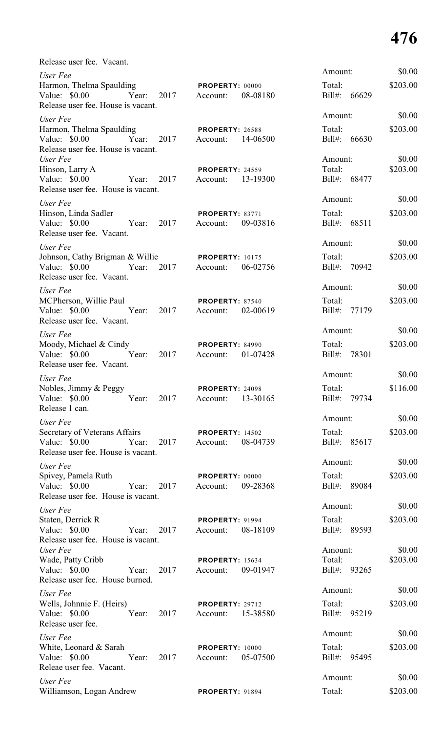# **476**

\$0.00

\$0.00

\$0.00

\$0.00

\$0.00

\$0.00

\$0.00

\$0.00

\$0.00

\$0.00

 $$0.00$ 

\$0.00

\$0.00

| Release user fee. Vacant.                                                                                 |                                                |                                   |                    |
|-----------------------------------------------------------------------------------------------------------|------------------------------------------------|-----------------------------------|--------------------|
| User Fee<br>Harmon, Thelma Spaulding<br>Value: \$0.00 Year:<br>2017<br>Release user fee. House is vacant. | <b>PROPERTY: 00000</b><br>08-08180<br>Account: | Amount:<br>Total:<br>Bill#: 66629 | \$0.00<br>\$203.00 |
| User Fee                                                                                                  |                                                | Amount:                           | \$0.00             |
| Harmon, Thelma Spaulding<br>Value: \$0.00 Year: 2017<br>Release user fee. House is vacant.                | <b>PROPERTY: 26588</b><br>Account:<br>14-06500 | Total:<br>Bill#: 66630            | \$203.00           |
| User Fee<br>Hinson, Larry A<br>Value: \$0.00 Year:<br>2017<br>Release user fee. House is vacant.          | <b>PROPERTY: 24559</b><br>Account: 13-19300    | Amount:<br>Total:<br>Bill#: 68477 | \$0.00<br>\$203.00 |
| User Fee                                                                                                  |                                                | Amount:                           | \$0.00             |
| Hinson, Linda Sadler<br>Value: \$0.00 Year:<br>2017<br>Release user fee. Vacant.                          | PROPERTY: 83771<br>09-03816<br>Account:        | Total:<br>Bill#: 68511            | \$203.00           |
| User Fee                                                                                                  |                                                | Amount:                           | \$0.00             |
| Johnson, Cathy Brigman & Willie<br>Value: $$0.00$<br>2017<br>Year:<br>Release user fee. Vacant.           | <b>PROPERTY: 10175</b><br>06-02756<br>Account: | Total:<br>Bill#: 70942            | \$203.00           |
| User Fee                                                                                                  |                                                | Amount:                           | \$0.00             |
| MCPherson, Willie Paul<br>Value: $$0.00$<br>Year:<br>2017<br>Release user fee. Vacant.                    | PROPERTY: 87540<br>02-00619<br>Account:        | Total:<br>Bill#: 77179            | \$203.00           |
| User Fee                                                                                                  |                                                | Amount:                           | \$0.00             |
| Moody, Michael & Cindy<br>Value: \$0.00<br>2017<br>Year:                                                  | <b>PROPERTY: 84990</b><br>01-07428<br>Account: | Total:<br>78301<br>Bill#:         | \$203.00           |
| Release user fee. Vacant.                                                                                 |                                                | Amount:                           | \$0.00             |
| User Fee<br>Nobles, Jimmy & Peggy<br>Value: \$0.00<br>Year:<br>2017<br>Release 1 can.                     | PROPERTY: 24098<br>13-30165<br>Account:        | Total:<br>$Bill#$ :<br>79734      | \$116.00           |
| User Fee                                                                                                  |                                                | Amount:                           | \$0.00             |
| Secretary of Veterans Affairs<br>Value: \$0.00<br>Year:<br>2017<br>Release user fee. House is vacant.     | <b>PROPERTY: 14502</b><br>08-04739<br>Account: | Total:<br>Bill#: 85617            | \$203.00           |
| User Fee                                                                                                  |                                                | Amount:                           | \$0.00             |
| Spivey, Pamela Ruth<br>Value: \$0.00<br>Year:<br>2017<br>Release user fee. House is vacant.               | <b>PROPERTY: 00000</b><br>09-28368<br>Account: | Total:<br>$Bill#$ :<br>89084      | \$203.00           |
| User Fee                                                                                                  |                                                | Amount:                           | \$0.00             |
| Staten, Derrick R<br>Value: \$0.00<br>Year:<br>2017<br>Release user fee. House is vacant.                 | <b>PROPERTY: 91994</b><br>08-18109<br>Account: | Total:<br>Bill#: 89593            | \$203.00           |
| User Fee<br>Wade, Patty Cribb<br>Value: \$0.00<br>Year:<br>2017                                           | <b>PROPERTY: 15634</b><br>09-01947<br>Account: | Amount:<br>Total:<br>Bill#: 93265 | \$0.00<br>\$203.00 |
| Release user fee. House burned.                                                                           |                                                |                                   |                    |
| User Fee                                                                                                  |                                                | Amount:                           | \$0.00             |
| Wells, Johnnie F. (Heirs)<br>Value: \$0.00<br>Year:<br>2017<br>Release user fee.                          | <b>PROPERTY: 29712</b><br>15-38580<br>Account: | Total:<br>Bill#: 95219            | \$203.00           |
| User Fee                                                                                                  |                                                | Amount:                           | \$0.00             |
| White, Leonard & Sarah<br>2017<br>Value: \$0.00<br>Year:<br>Releae user fee. Vacant.                      | <b>PROPERTY: 10000</b><br>05-07500<br>Account: | Total:<br>Bill#: 95495            | \$203.00           |
| User Fee                                                                                                  |                                                | Amount:                           | \$0.00             |
| Williamson, Logan Andrew                                                                                  | <b>PROPERTY: 91894</b>                         | Total:                            | \$203.00           |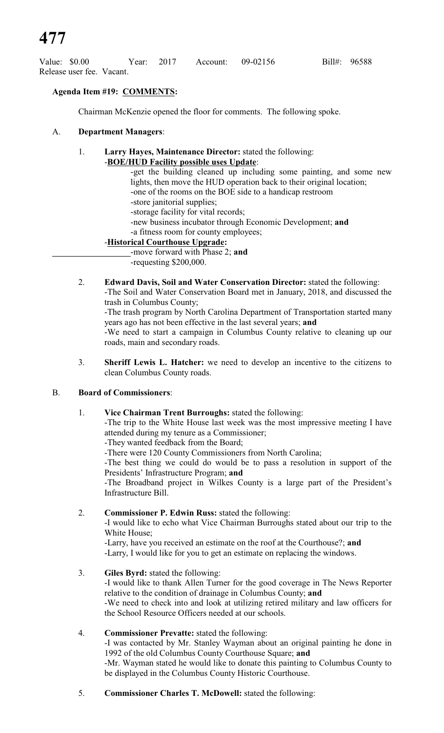| Value: \$0.00 |                           | Year: 2017 | Account: 09-02156 |  | Bill#: 96588 |
|---------------|---------------------------|------------|-------------------|--|--------------|
|               | Release user fee. Vacant. |            |                   |  |              |

# **Agenda Item #19: COMMENTS:**

Chairman McKenzie opened the floor for comments. The following spoke.

## A. **Department Managers**:

- 1. **Larry Hayes, Maintenance Director:** stated the following: -**BOE/HUD Facility possible uses Update**:
	- -get the building cleaned up including some painting, and some new lights, then move the HUD operation back to their original location; -one of the rooms on the BOE side to a handicap restroom -store janitorial supplies; -storage facility for vital records; -new business incubator through Economic Development; **and** -a fitness room for county employees;

# -**Historical Courthouse Upgrade:**

-move forward with Phase 2; **and** -requesting \$200,000.

- 2. **Edward Davis, Soil and Water Conservation Director:** stated the following: -The Soil and Water Conservation Board met in January, 2018, and discussed the trash in Columbus County; -The trash program by North Carolina Department of Transportation started many years ago has not been effective in the last several years; **and** -We need to start a campaign in Columbus County relative to cleaning up our roads, main and secondary roads.
- 3. **Sheriff Lewis L. Hatcher:** we need to develop an incentive to the citizens to clean Columbus County roads.

### B. **Board of Commissioners**:

1. **Vice Chairman Trent Burroughs:** stated the following:

-The trip to the White House last week was the most impressive meeting I have attended during my tenure as a Commissioner;

-They wanted feedback from the Board;

-There were 120 County Commissioners from North Carolina;

-The best thing we could do would be to pass a resolution in support of the Presidents' Infrastructure Program; **and**

-The Broadband project in Wilkes County is a large part of the President's Infrastructure Bill.

# 2. **Commissioner P. Edwin Russ:** stated the following:

-I would like to echo what Vice Chairman Burroughs stated about our trip to the White House;

-Larry, have you received an estimate on the roof at the Courthouse?; **and** -Larry, I would like for you to get an estimate on replacing the windows.

# 3. **Giles Byrd:** stated the following:

-I would like to thank Allen Turner for the good coverage in The News Reporter relative to the condition of drainage in Columbus County; **and**

-We need to check into and look at utilizing retired military and law officers for the School Resource Officers needed at our schools.

# 4. **Commissioner Prevatte:** stated the following:

-I was contacted by Mr. Stanley Wayman about an original painting he done in 1992 of the old Columbus County Courthouse Square; **and**

-Mr. Wayman stated he would like to donate this painting to Columbus County to be displayed in the Columbus County Historic Courthouse.

5. **Commissioner Charles T. McDowell:** stated the following: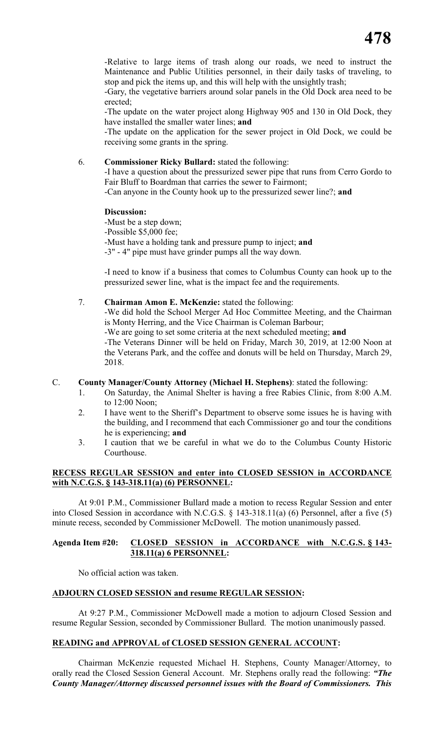-Relative to large items of trash along our roads, we need to instruct the Maintenance and Public Utilities personnel, in their daily tasks of traveling, to stop and pick the items up, and this will help with the unsightly trash;

-Gary, the vegetative barriers around solar panels in the Old Dock area need to be erected;

-The update on the water project along Highway 905 and 130 in Old Dock, they have installed the smaller water lines; **and**

-The update on the application for the sewer project in Old Dock, we could be receiving some grants in the spring.

# 6. **Commissioner Ricky Bullard:** stated the following:

-I have a question about the pressurized sewer pipe that runs from Cerro Gordo to Fair Bluff to Boardman that carries the sewer to Fairmont;

-Can anyone in the County hook up to the pressurized sewer line?; **and**

# **Discussion:**

-Must be a step down;

-Possible \$5,000 fee;

-Must have a holding tank and pressure pump to inject; **and**

-3" - 4" pipe must have grinder pumps all the way down.

-I need to know if a business that comes to Columbus County can hook up to the pressurized sewer line, what is the impact fee and the requirements.

### 7. **Chairman Amon E. McKenzie:** stated the following:

-We did hold the School Merger Ad Hoc Committee Meeting, and the Chairman is Monty Herring, and the Vice Chairman is Coleman Barbour;

-We are going to set some criteria at the next scheduled meeting; **and**

-The Veterans Dinner will be held on Friday, March 30, 2019, at 12:00 Noon at the Veterans Park, and the coffee and donuts will be held on Thursday, March 29, 2018.

# C. **County Manager/County Attorney (Michael H. Stephens)**: stated the following:

- 1. On Saturday, the Animal Shelter is having a free Rabies Clinic, from 8:00 A.M. to 12:00 Noon;
- 2. I have went to the Sheriff's Department to observe some issues he is having with the building, and I recommend that each Commissioner go and tour the conditions he is experiencing; **and**
- 3. I caution that we be careful in what we do to the Columbus County Historic Courthouse.

# **RECESS REGULAR SESSION and enter into CLOSED SESSION in ACCORDANCE with N.C.G.S. § 143-318.11(a) (6) PERSONNEL:**

At 9:01 P.M., Commissioner Bullard made a motion to recess Regular Session and enter into Closed Session in accordance with N.C.G.S. § 143-318.11(a) (6) Personnel, after a five (5) minute recess, seconded by Commissioner McDowell. The motion unanimously passed.

# **Agenda Item #20: CLOSED SESSION in ACCORDANCE with N.C.G.S. § 143- 318.11(a) 6 PERSONNEL:**

No official action was taken.

# **ADJOURN CLOSED SESSION and resume REGULAR SESSION:**

At 9:27 P.M., Commissioner McDowell made a motion to adjourn Closed Session and resume Regular Session, seconded by Commissioner Bullard. The motion unanimously passed.

# **READING and APPROVAL of CLOSED SESSION GENERAL ACCOUNT:**

Chairman McKenzie requested Michael H. Stephens, County Manager/Attorney, to orally read the Closed Session General Account. Mr. Stephens orally read the following: *"The County Manager/Attorney discussed personnel issues with the Board of Commissioners. This*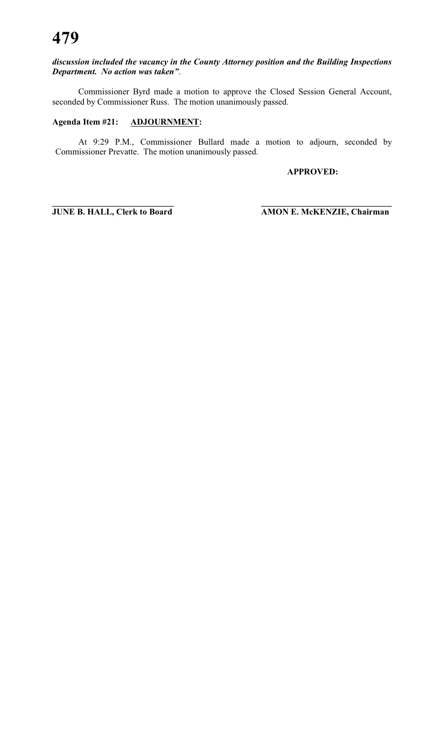# *discussion included the vacancy in the County Attorney position and the Building Inspections Department. No action was taken"*.

Commissioner Byrd made a motion to approve the Closed Session General Account, seconded by Commissioner Russ. The motion unanimously passed.

# **Agenda Item #21: ADJOURNMENT:**

At 9:29 P.M., Commissioner Bullard made a motion to adjourn, seconded by Commissioner Prevatte. The motion unanimously passed.

**\_\_\_\_\_\_\_\_\_\_\_\_\_\_\_\_\_\_\_\_\_\_\_\_\_\_\_\_ \_\_\_\_\_\_\_\_\_\_\_\_\_\_\_\_\_\_\_\_\_\_\_\_\_\_\_\_\_\_**

**APPROVED:**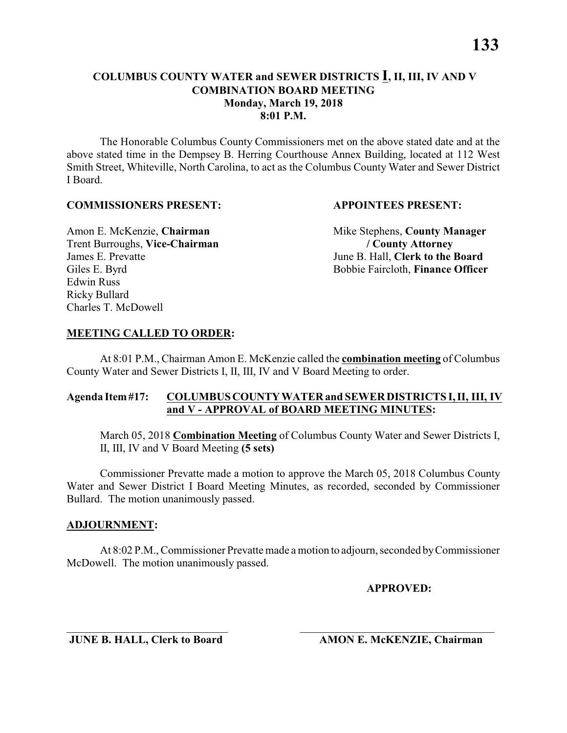The Honorable Columbus County Commissioners met on the above stated date and at the above stated time in the Dempsey B. Herring Courthouse Annex Building, located at 112 West Smith Street, Whiteville, North Carolina, to act as the Columbus County Water and Sewer District I Board.

### **COMMISSIONERS PRESENT: APPOINTEES PRESENT:**

Trent Burroughs, **Vice-Chairman / County Attorney** James E. Prevatte<br>
Giles E. Byrd<br>
Giles E. Byrd<br>
Giles E. Byrd<br>
Giles E. Byrd<br>
Giles E. Byrd<br>
Giles E. Byrd<br>
Giles E. Byrd<br>
Giles E. Byrd<br>
Giles E. Byrd<br>
Giles E. Byrd<br>
Giles E. Byrd<br>
Giles E. Byrd<br>
Giles E. Byrd<br>
Giles E. Edwin Russ Ricky Bullard Charles T. McDowell

Amon E. McKenzie, **Chairman** Mike Stephens, **County Manager** Bobbie Faircloth, **Finance Officer** 

### **MEETING CALLED TO ORDER:**

At 8:01 P.M., Chairman Amon E. McKenzie called the **combination meeting** of Columbus County Water and Sewer Districts I, II, III, IV and V Board Meeting to order.

## **Agenda Item #17: COLUMBUS COUNTY WATER and SEWER DISTRICTS I, II, III, IV and V - APPROVAL of BOARD MEETING MINUTES:**

March 05, 2018 **Combination Meeting** of Columbus County Water and Sewer Districts I, II, III, IV and V Board Meeting **(5 sets)**

Commissioner Prevatte made a motion to approve the March 05, 2018 Columbus County Water and Sewer District I Board Meeting Minutes, as recorded, seconded by Commissioner Bullard. The motion unanimously passed.

### **ADJOURNMENT:**

At 8:02 P.M., Commissioner Prevatte made a motion to adjourn, seconded by Commissioner McDowell. The motion unanimously passed.

\_\_\_\_\_\_\_\_\_\_\_\_\_\_\_\_\_\_\_\_\_\_\_\_\_\_\_\_\_ \_\_\_\_\_\_\_\_\_\_\_\_\_\_\_\_\_\_\_\_\_\_\_\_\_\_\_\_\_\_\_\_\_\_\_

**APPROVED:**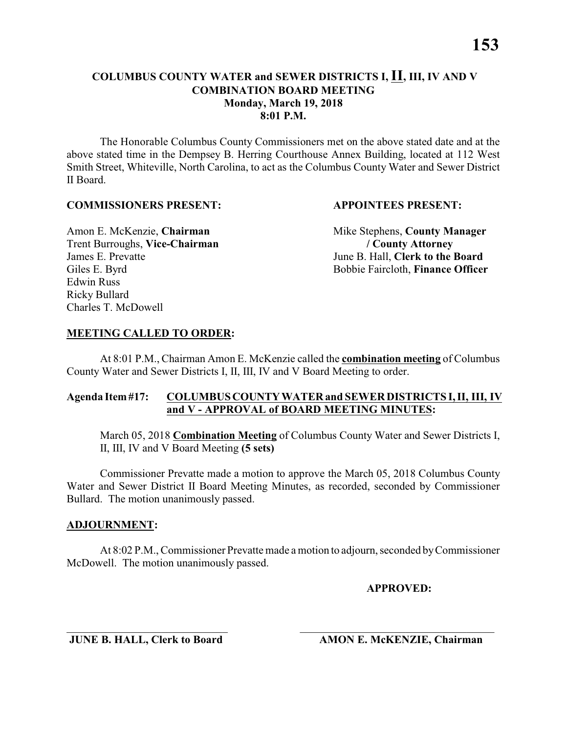The Honorable Columbus County Commissioners met on the above stated date and at the above stated time in the Dempsey B. Herring Courthouse Annex Building, located at 112 West Smith Street, Whiteville, North Carolina, to act as the Columbus County Water and Sewer District II Board.

### **COMMISSIONERS PRESENT: APPOINTEES PRESENT:**

Trent Burroughs, **Vice-Chairman / County Attorney** James E. Prevatte<br>
Giles E. Byrd<br>
Giles E. Byrd<br>
Giles E. Byrd<br>
Giles E. Byrd<br>
Giles E. Byrd<br>
Giles E. Byrd<br>
Giles E. Byrd<br>
Giles E. Byrd<br>
Giles E. Byrd<br>
Giles E. Byrd<br>
Giles E. Byrd<br>
Giles E. Byrd<br>
Giles E. Byrd<br>
Giles E. Edwin Russ Ricky Bullard Charles T. McDowell

Amon E. McKenzie, **Chairman** Mike Stephens, **County Manager** Bobbie Faircloth, **Finance Officer** 

## **MEETING CALLED TO ORDER:**

At 8:01 P.M., Chairman Amon E. McKenzie called the **combination meeting** of Columbus County Water and Sewer Districts I, II, III, IV and V Board Meeting to order.

## **Agenda Item #17: COLUMBUS COUNTY WATER and SEWER DISTRICTS I, II, III, IV and V - APPROVAL of BOARD MEETING MINUTES:**

March 05, 2018 **Combination Meeting** of Columbus County Water and Sewer Districts I, II, III, IV and V Board Meeting **(5 sets)**

Commissioner Prevatte made a motion to approve the March 05, 2018 Columbus County Water and Sewer District II Board Meeting Minutes, as recorded, seconded by Commissioner Bullard. The motion unanimously passed.

### **ADJOURNMENT:**

At 8:02 P.M., Commissioner Prevatte made a motion to adjourn, seconded by Commissioner McDowell. The motion unanimously passed.

\_\_\_\_\_\_\_\_\_\_\_\_\_\_\_\_\_\_\_\_\_\_\_\_\_\_\_\_\_ \_\_\_\_\_\_\_\_\_\_\_\_\_\_\_\_\_\_\_\_\_\_\_\_\_\_\_\_\_\_\_\_\_\_\_

**APPROVED:**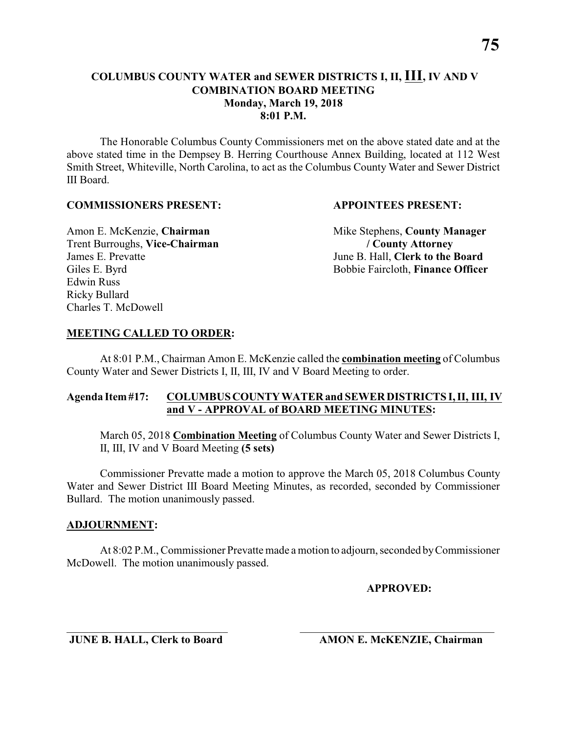The Honorable Columbus County Commissioners met on the above stated date and at the above stated time in the Dempsey B. Herring Courthouse Annex Building, located at 112 West Smith Street, Whiteville, North Carolina, to act as the Columbus County Water and Sewer District III Board.

### **COMMISSIONERS PRESENT: APPOINTEES PRESENT:**

Trent Burroughs, **Vice-Chairman / County Attorney** James E. Prevatte June B. Hall, **Clerk to the Board** Edwin Russ Ricky Bullard Charles T. McDowell

Amon E. McKenzie, **Chairman** Mike Stephens, **County Manager** Giles E. Byrd Bobbie Faircloth, **Finance Officer** 

### **MEETING CALLED TO ORDER:**

At 8:01 P.M., Chairman Amon E. McKenzie called the **combination meeting** of Columbus County Water and Sewer Districts I, II, III, IV and V Board Meeting to order.

## **Agenda Item #17: COLUMBUS COUNTY WATER and SEWER DISTRICTS I, II, III, IV and V - APPROVAL of BOARD MEETING MINUTES:**

March 05, 2018 **Combination Meeting** of Columbus County Water and Sewer Districts I, II, III, IV and V Board Meeting **(5 sets)**

Commissioner Prevatte made a motion to approve the March 05, 2018 Columbus County Water and Sewer District III Board Meeting Minutes, as recorded, seconded by Commissioner Bullard. The motion unanimously passed.

### **ADJOURNMENT:**

At 8:02 P.M., Commissioner Prevatte made a motion to adjourn, seconded by Commissioner McDowell. The motion unanimously passed.

\_\_\_\_\_\_\_\_\_\_\_\_\_\_\_\_\_\_\_\_\_\_\_\_\_\_\_\_\_ \_\_\_\_\_\_\_\_\_\_\_\_\_\_\_\_\_\_\_\_\_\_\_\_\_\_\_\_\_\_\_\_\_\_\_

**APPROVED:**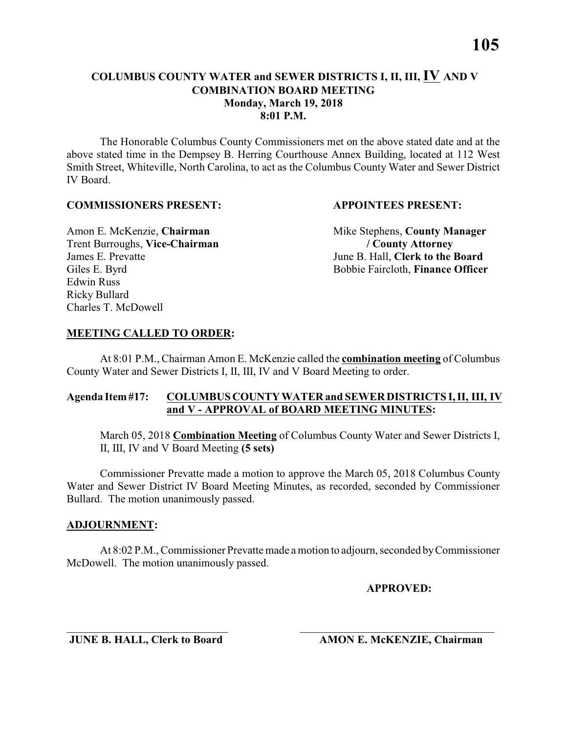The Honorable Columbus County Commissioners met on the above stated date and at the above stated time in the Dempsey B. Herring Courthouse Annex Building, located at 112 West Smith Street, Whiteville, North Carolina, to act as the Columbus County Water and Sewer District IV Board.

### **COMMISSIONERS PRESENT: APPOINTEES PRESENT:**

Trent Burroughs, **Vice-Chairman / County Attorney** James E. Prevatte<br>
Giles E. Byrd<br>
Giles E. Byrd<br>
Giles E. Byrd<br>
Giles E. Byrd<br>
Giles E. Byrd<br>
Giles E. Byrd<br>
Giles E. Byrd<br>
Giles E. Byrd<br>
Giles E. Byrd<br>
Giles E. Byrd<br>
Giles E. Byrd<br>
Giles E. Byrd<br>
Giles E. Byrd<br>
Giles E. Edwin Russ Ricky Bullard Charles T. McDowell

Amon E. McKenzie, **Chairman** Mike Stephens, **County Manager** Bobbie Faircloth, **Finance Officer** 

### **MEETING CALLED TO ORDER:**

At 8:01 P.M., Chairman Amon E. McKenzie called the **combination meeting** of Columbus County Water and Sewer Districts I, II, III, IV and V Board Meeting to order.

## **Agenda Item #17: COLUMBUS COUNTY WATER and SEWER DISTRICTS I, II, III, IV and V - APPROVAL of BOARD MEETING MINUTES:**

March 05, 2018 **Combination Meeting** of Columbus County Water and Sewer Districts I, II, III, IV and V Board Meeting **(5 sets)**

Commissioner Prevatte made a motion to approve the March 05, 2018 Columbus County Water and Sewer District IV Board Meeting Minutes, as recorded, seconded by Commissioner Bullard. The motion unanimously passed.

### **ADJOURNMENT:**

At 8:02 P.M., Commissioner Prevatte made a motion to adjourn, seconded by Commissioner McDowell. The motion unanimously passed.

\_\_\_\_\_\_\_\_\_\_\_\_\_\_\_\_\_\_\_\_\_\_\_\_\_\_\_\_\_ \_\_\_\_\_\_\_\_\_\_\_\_\_\_\_\_\_\_\_\_\_\_\_\_\_\_\_\_\_\_\_\_\_\_\_

**APPROVED:**